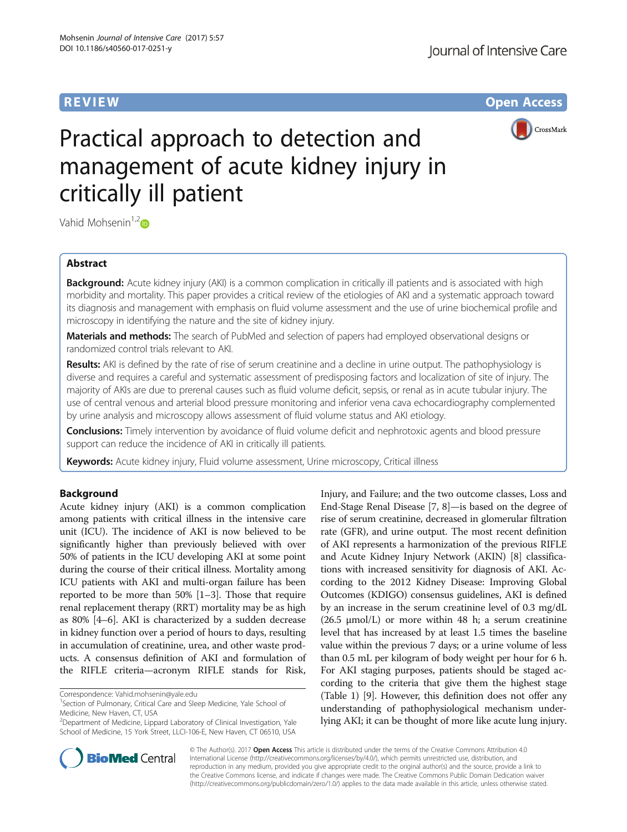**REVIEW CONSTRUCTION CONSTRUCTION CONSTRUCTS** 



# Practical approach to detection and management of acute kidney injury in critically ill patient

Vahid Mohsenin<sup>1,[2](http://orcid.org/0000-0001-9384-8374)</sup> $\bullet$ 

# Abstract

**Background:** Acute kidney injury (AKI) is a common complication in critically ill patients and is associated with high morbidity and mortality. This paper provides a critical review of the etiologies of AKI and a systematic approach toward its diagnosis and management with emphasis on fluid volume assessment and the use of urine biochemical profile and microscopy in identifying the nature and the site of kidney injury.

Materials and methods: The search of PubMed and selection of papers had employed observational designs or randomized control trials relevant to AKI.

Results: AKI is defined by the rate of rise of serum creatinine and a decline in urine output. The pathophysiology is diverse and requires a careful and systematic assessment of predisposing factors and localization of site of injury. The majority of AKIs are due to prerenal causes such as fluid volume deficit, sepsis, or renal as in acute tubular injury. The use of central venous and arterial blood pressure monitoring and inferior vena cava echocardiography complemented by urine analysis and microscopy allows assessment of fluid volume status and AKI etiology.

Conclusions: Timely intervention by avoidance of fluid volume deficit and nephrotoxic agents and blood pressure support can reduce the incidence of AKI in critically ill patients.

Keywords: Acute kidney injury, Fluid volume assessment, Urine microscopy, Critical illness

# Background

Acute kidney injury (AKI) is a common complication among patients with critical illness in the intensive care unit (ICU). The incidence of AKI is now believed to be significantly higher than previously believed with over 50% of patients in the ICU developing AKI at some point during the course of their critical illness. Mortality among ICU patients with AKI and multi-organ failure has been reported to be more than 50% [[1](#page-6-0)–[3](#page-6-0)]. Those that require renal replacement therapy (RRT) mortality may be as high as 80% [[4](#page-6-0)–[6](#page-6-0)]. AKI is characterized by a sudden decrease in kidney function over a period of hours to days, resulting in accumulation of creatinine, urea, and other waste products. A consensus definition of AKI and formulation of the RIFLE criteria—acronym RIFLE stands for Risk,

Injury, and Failure; and the two outcome classes, Loss and End-Stage Renal Disease [\[7, 8\]](#page-6-0)—is based on the degree of rise of serum creatinine, decreased in glomerular filtration rate (GFR), and urine output. The most recent definition of AKI represents a harmonization of the previous RIFLE and Acute Kidney Injury Network (AKIN) [\[8\]](#page-6-0) classifications with increased sensitivity for diagnosis of AKI. According to the 2012 Kidney Disease: Improving Global Outcomes (KDIGO) consensus guidelines, AKI is defined by an increase in the serum creatinine level of 0.3 mg/dL (26.5  $\mu$ mol/L) or more within 48 h; a serum creatinine level that has increased by at least 1.5 times the baseline value within the previous 7 days; or a urine volume of less than 0.5 mL per kilogram of body weight per hour for 6 h. For AKI staging purposes, patients should be staged according to the criteria that give them the highest stage (Table [1](#page-1-0)) [\[9\]](#page-6-0). However, this definition does not offer any understanding of pathophysiological mechanism underlying AKI; it can be thought of more like acute lung injury.



© The Author(s). 2017 Open Access This article is distributed under the terms of the Creative Commons Attribution 4.0 International License [\(http://creativecommons.org/licenses/by/4.0/](http://creativecommons.org/licenses/by/4.0/)), which permits unrestricted use, distribution, and reproduction in any medium, provided you give appropriate credit to the original author(s) and the source, provide a link to the Creative Commons license, and indicate if changes were made. The Creative Commons Public Domain Dedication waiver [\(http://creativecommons.org/publicdomain/zero/1.0/](http://creativecommons.org/publicdomain/zero/1.0/)) applies to the data made available in this article, unless otherwise stated.

Correspondence: [Vahid.mohsenin@yale.edu](mailto:Vahid.mohsenin@yale.edu) <sup>1</sup>

<sup>&</sup>lt;sup>1</sup>Section of Pulmonary, Critical Care and Sleep Medicine, Yale School of Medicine, New Haven, CT, USA

<sup>&</sup>lt;sup>2</sup>Department of Medicine, Lippard Laboratory of Clinical Investigation, Yale School of Medicine, 15 York Street, LLCI-106-E, New Haven, CT 06510, USA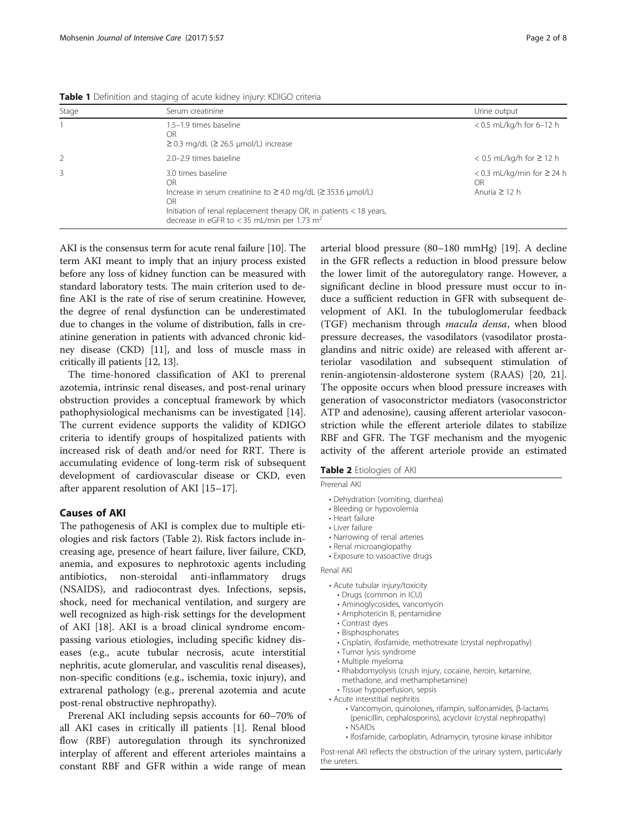| Stage | Serum creatinine                                                                                                                                                                                                                         | Urine output<br>$< 0.5$ mL/kg/h for 6-12 h             |  |
|-------|------------------------------------------------------------------------------------------------------------------------------------------------------------------------------------------------------------------------------------------|--------------------------------------------------------|--|
|       | 1.5-1.9 times baseline<br>OR<br>$\geq$ 0.3 mg/dL ( $\geq$ 26.5 µmol/L) increase                                                                                                                                                          |                                                        |  |
| 2     | 2.0-2.9 times baseline                                                                                                                                                                                                                   | $<$ 0.5 mL/kg/h for $\geq$ 12 h                        |  |
| 3     | 3.0 times baseline<br>OR<br>Increase in serum creatinine to $\geq$ 4.0 mg/dL ( $\geq$ 353.6 µmol/L)<br>OR<br>Initiation of renal replacement therapy OR, in patients < 18 years, decrease in eGFR to < 35 mL/min per 1.73 m <sup>2</sup> | < 0.3 mL/kg/min for $\geq$ 24 h<br>OR<br>Anuria ≥ 12 h |  |

<span id="page-1-0"></span>Table 1 Definition and staging of acute kidney injury: KDIGO criteria

AKI is the consensus term for acute renal failure [\[10\]](#page-6-0). The term AKI meant to imply that an injury process existed before any loss of kidney function can be measured with standard laboratory tests. The main criterion used to define AKI is the rate of rise of serum creatinine. However, the degree of renal dysfunction can be underestimated due to changes in the volume of distribution, falls in creatinine generation in patients with advanced chronic kidney disease (CKD) [\[11\]](#page-6-0), and loss of muscle mass in critically ill patients [\[12](#page-6-0), [13](#page-6-0)].

The time-honored classification of AKI to prerenal azotemia, intrinsic renal diseases, and post-renal urinary obstruction provides a conceptual framework by which pathophysiological mechanisms can be investigated [\[14](#page-6-0)]. The current evidence supports the validity of KDIGO criteria to identify groups of hospitalized patients with increased risk of death and/or need for RRT. There is accumulating evidence of long-term risk of subsequent development of cardiovascular disease or CKD, even after apparent resolution of AKI [[15](#page-6-0)–[17](#page-6-0)].

# Causes of AKI

The pathogenesis of AKI is complex due to multiple etiologies and risk factors (Table 2). Risk factors include increasing age, presence of heart failure, liver failure, CKD, anemia, and exposures to nephrotoxic agents including antibiotics, non-steroidal anti-inflammatory drugs (NSAIDS), and radiocontrast dyes. Infections, sepsis, shock, need for mechanical ventilation, and surgery are well recognized as high-risk settings for the development of AKI [\[18](#page-6-0)]. AKI is a broad clinical syndrome encompassing various etiologies, including specific kidney diseases (e.g., acute tubular necrosis, acute interstitial nephritis, acute glomerular, and vasculitis renal diseases), non-specific conditions (e.g., ischemia, toxic injury), and extrarenal pathology (e.g., prerenal azotemia and acute post-renal obstructive nephropathy).

Prerenal AKI including sepsis accounts for 60–70% of all AKI cases in critically ill patients [\[1](#page-6-0)]. Renal blood flow (RBF) autoregulation through its synchronized interplay of afferent and efferent arterioles maintains a constant RBF and GFR within a wide range of mean

arterial blood pressure (80–180 mmHg) [\[19](#page-6-0)]. A decline in the GFR reflects a reduction in blood pressure below the lower limit of the autoregulatory range. However, a significant decline in blood pressure must occur to induce a sufficient reduction in GFR with subsequent development of AKI. In the tubuloglomerular feedback (TGF) mechanism through macula densa, when blood pressure decreases, the vasodilators (vasodilator prostaglandins and nitric oxide) are released with afferent arteriolar vasodilation and subsequent stimulation of renin-angiotensin-aldosterone system (RAAS) [\[20, 21](#page-6-0)]. The opposite occurs when blood pressure increases with generation of vasoconstrictor mediators (vasoconstrictor ATP and adenosine), causing afferent arteriolar vasoconstriction while the efferent arteriole dilates to stabilize RBF and GFR. The TGF mechanism and the myogenic activity of the afferent arteriole provide an estimated

# Table 2 Etiologies of AKI

Prerenal AKI

- Dehydration (vomiting, diarrhea)
- Bleeding or hypovolemia
- Heart failure
- Liver failure
- Narrowing of renal arteries
- Renal microangiopathy
- Exposure to vasoactive drugs

## Renal AKI

- Acute tubular injury/toxicity
- Drugs (common in ICU)
- Aminoglycosides, vancomycin
- Amphotericin B, pentamidine
- Contrast dyes
- Bisphosphonates
- Cisplatin, ifosfamide, methotrexate (crystal nephropathy)
- Tumor lysis syndrome
- Multiple myeloma
- Rhabdomyolysis (crush injury, cocaine, heroin, ketamine, methadone, and methamphetamine)
- Tissue hypoperfusion, sepsis
- Acute interstitial nephritis
	- Vancomycin, quinolones, rifampin, sulfonamides, β-lactams (penicillin, cephalosporins), acyclovir (crystal nephropathy) • NSAIDs
	- Ifosfamide, carboplatin, Adriamycin, tyrosine kinase inhibitor

Post-renal AKI reflects the obstruction of the urinary system, particularly the ureters.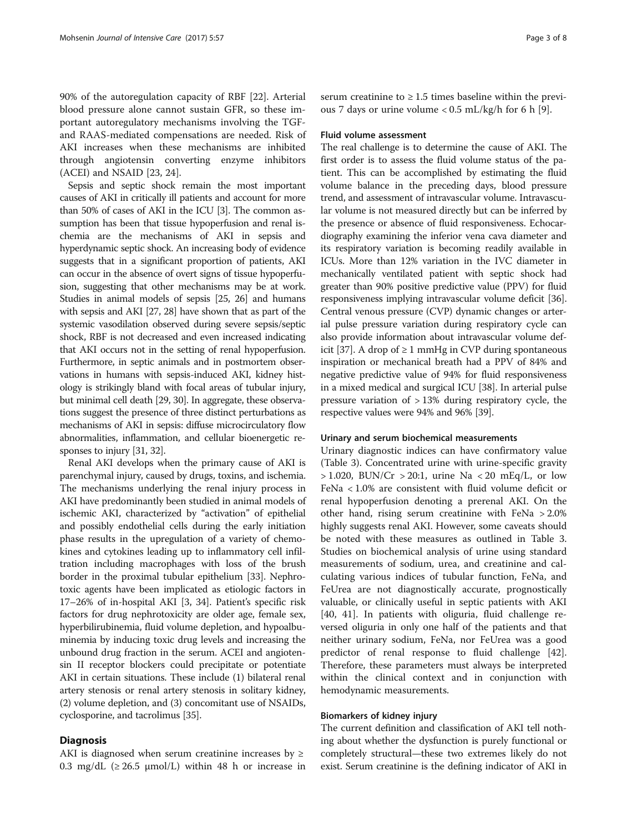90% of the autoregulation capacity of RBF [\[22](#page-6-0)]. Arterial blood pressure alone cannot sustain GFR, so these important autoregulatory mechanisms involving the TGFand RAAS-mediated compensations are needed. Risk of AKI increases when these mechanisms are inhibited through angiotensin converting enzyme inhibitors (ACEI) and NSAID [\[23](#page-6-0), [24](#page-6-0)].

Sepsis and septic shock remain the most important causes of AKI in critically ill patients and account for more than 50% of cases of AKI in the ICU [\[3\]](#page-6-0). The common assumption has been that tissue hypoperfusion and renal ischemia are the mechanisms of AKI in sepsis and hyperdynamic septic shock. An increasing body of evidence suggests that in a significant proportion of patients, AKI can occur in the absence of overt signs of tissue hypoperfusion, suggesting that other mechanisms may be at work. Studies in animal models of sepsis [\[25, 26\]](#page-6-0) and humans with sepsis and AKI [\[27, 28](#page-6-0)] have shown that as part of the systemic vasodilation observed during severe sepsis/septic shock, RBF is not decreased and even increased indicating that AKI occurs not in the setting of renal hypoperfusion. Furthermore, in septic animals and in postmortem observations in humans with sepsis-induced AKI, kidney histology is strikingly bland with focal areas of tubular injury, but minimal cell death [[29](#page-6-0), [30](#page-6-0)]. In aggregate, these observations suggest the presence of three distinct perturbations as mechanisms of AKI in sepsis: diffuse microcirculatory flow abnormalities, inflammation, and cellular bioenergetic responses to injury [[31](#page-6-0), [32](#page-6-0)].

Renal AKI develops when the primary cause of AKI is parenchymal injury, caused by drugs, toxins, and ischemia. The mechanisms underlying the renal injury process in AKI have predominantly been studied in animal models of ischemic AKI, characterized by "activation" of epithelial and possibly endothelial cells during the early initiation phase results in the upregulation of a variety of chemokines and cytokines leading up to inflammatory cell infiltration including macrophages with loss of the brush border in the proximal tubular epithelium [[33](#page-6-0)]. Nephrotoxic agents have been implicated as etiologic factors in 17–26% of in-hospital AKI [\[3](#page-6-0), [34\]](#page-6-0). Patient's specific risk factors for drug nephrotoxicity are older age, female sex, hyperbilirubinemia, fluid volume depletion, and hypoalbuminemia by inducing toxic drug levels and increasing the unbound drug fraction in the serum. ACEI and angiotensin II receptor blockers could precipitate or potentiate AKI in certain situations. These include (1) bilateral renal artery stenosis or renal artery stenosis in solitary kidney, (2) volume depletion, and (3) concomitant use of NSAIDs, cyclosporine, and tacrolimus [[35](#page-6-0)].

# **Diagnosis**

AKI is diagnosed when serum creatinine increases by  $\geq$ 0.3 mg/dL ( $\geq$  26.5 µmol/L) within 48 h or increase in serum creatinine to  $\geq 1.5$  times baseline within the previous 7 days or urine volume  $< 0.5$  mL/kg/h for 6 h [\[9](#page-6-0)].

# Fluid volume assessment

The real challenge is to determine the cause of AKI. The first order is to assess the fluid volume status of the patient. This can be accomplished by estimating the fluid volume balance in the preceding days, blood pressure trend, and assessment of intravascular volume. Intravascular volume is not measured directly but can be inferred by the presence or absence of fluid responsiveness. Echocardiography examining the inferior vena cava diameter and its respiratory variation is becoming readily available in ICUs. More than 12% variation in the IVC diameter in mechanically ventilated patient with septic shock had greater than 90% positive predictive value (PPV) for fluid responsiveness implying intravascular volume deficit [[36](#page-6-0)]. Central venous pressure (CVP) dynamic changes or arterial pulse pressure variation during respiratory cycle can also provide information about intravascular volume def-icit [[37](#page-6-0)]. A drop of  $\geq 1$  mmHg in CVP during spontaneous inspiration or mechanical breath had a PPV of 84% and negative predictive value of 94% for fluid responsiveness in a mixed medical and surgical ICU [[38](#page-6-0)]. In arterial pulse pressure variation of > 13% during respiratory cycle, the respective values were 94% and 96% [\[39](#page-6-0)].

## Urinary and serum biochemical measurements

Urinary diagnostic indices can have confirmatory value (Table [3\)](#page-3-0). Concentrated urine with urine-specific gravity  $> 1.020$ , BUN/Cr  $> 20:1$ , urine Na < 20 mEq/L, or low FeNa < 1.0% are consistent with fluid volume deficit or renal hypoperfusion denoting a prerenal AKI. On the other hand, rising serum creatinine with FeNa > 2.0% highly suggests renal AKI. However, some caveats should be noted with these measures as outlined in Table [3](#page-3-0). Studies on biochemical analysis of urine using standard measurements of sodium, urea, and creatinine and calculating various indices of tubular function, FeNa, and FeUrea are not diagnostically accurate, prognostically valuable, or clinically useful in septic patients with AKI [[40, 41](#page-6-0)]. In patients with oliguria, fluid challenge reversed oliguria in only one half of the patients and that neither urinary sodium, FeNa, nor FeUrea was a good predictor of renal response to fluid challenge [\[42](#page-7-0)]. Therefore, these parameters must always be interpreted within the clinical context and in conjunction with hemodynamic measurements.

# Biomarkers of kidney injury

The current definition and classification of AKI tell nothing about whether the dysfunction is purely functional or completely structural—these two extremes likely do not exist. Serum creatinine is the defining indicator of AKI in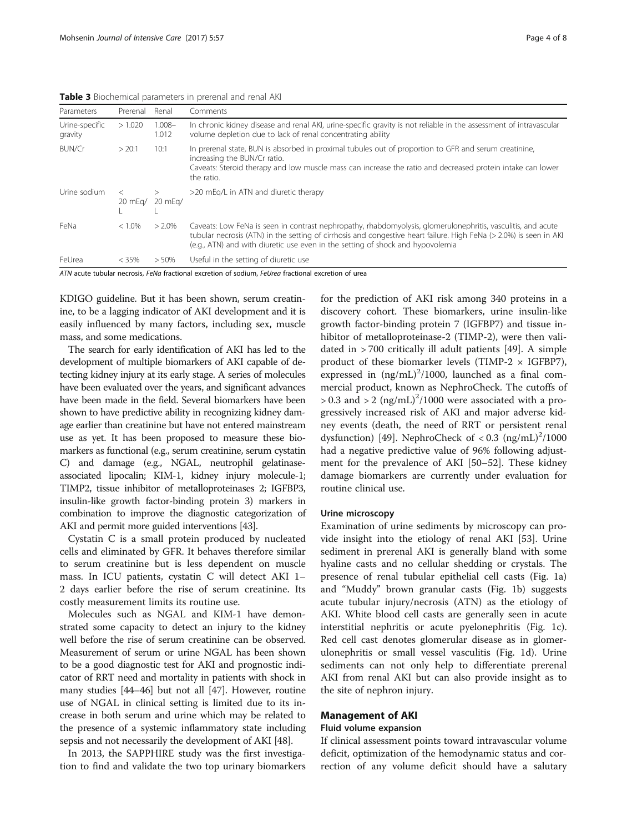<span id="page-3-0"></span>Table 3 Biochemical parameters in prerenal and renal AKI

| Parameters                | Prerenal           | Renal             | Comments                                                                                                                                                                                                                                                                                                             |
|---------------------------|--------------------|-------------------|----------------------------------------------------------------------------------------------------------------------------------------------------------------------------------------------------------------------------------------------------------------------------------------------------------------------|
| Urine-specific<br>gravity | >1.020             | 1.008-<br>1.012   | In chronic kidney disease and renal AKI, urine-specific gravity is not reliable in the assessment of intravascular<br>volume depletion due to lack of renal concentrating ability                                                                                                                                    |
| <b>BUN/Cr</b>             | > 20:1             | 10:1              | In prerenal state, BUN is absorbed in proximal tubules out of proportion to GFR and serum creatinine,<br>increasing the BUN/Cr ratio.<br>Caveats: Steroid therapy and low muscle mass can increase the ratio and decreased protein intake can lower<br>the ratio.                                                    |
| Urine sodium              | $\,<\,$<br>20 mEg/ | $\geq$<br>20 mEg/ | >20 mEg/L in ATN and diuretic therapy                                                                                                                                                                                                                                                                                |
| FeNa                      | $< 1.0\%$          | $> 2.0\%$         | Caveats: Low FeNa is seen in contrast nephropathy, rhabdomyolysis, glomerulonephritis, vasculitis, and acute<br>tubular necrosis (ATN) in the setting of cirrhosis and congestive heart failure. High FeNa (> 2.0%) is seen in AKI<br>(e.g., ATN) and with diuretic use even in the setting of shock and hypovolemia |
| FeUrea                    | $< 35\%$           | > 50%             | Useful in the setting of diuretic use                                                                                                                                                                                                                                                                                |

ATN acute tubular necrosis, FeNa fractional excretion of sodium, FeUrea fractional excretion of urea

KDIGO guideline. But it has been shown, serum creatinine, to be a lagging indicator of AKI development and it is easily influenced by many factors, including sex, muscle mass, and some medications.

The search for early identification of AKI has led to the development of multiple biomarkers of AKI capable of detecting kidney injury at its early stage. A series of molecules have been evaluated over the years, and significant advances have been made in the field. Several biomarkers have been shown to have predictive ability in recognizing kidney damage earlier than creatinine but have not entered mainstream use as yet. It has been proposed to measure these biomarkers as functional (e.g., serum creatinine, serum cystatin C) and damage (e.g., NGAL, neutrophil gelatinaseassociated lipocalin; KIM-1, kidney injury molecule-1; TIMP2, tissue inhibitor of metalloproteinases 2; IGFBP3, insulin-like growth factor-binding protein 3) markers in combination to improve the diagnostic categorization of AKI and permit more guided interventions [[43](#page-7-0)].

Cystatin C is a small protein produced by nucleated cells and eliminated by GFR. It behaves therefore similar to serum creatinine but is less dependent on muscle mass. In ICU patients, cystatin C will detect AKI 1– 2 days earlier before the rise of serum creatinine. Its costly measurement limits its routine use.

Molecules such as NGAL and KIM-1 have demonstrated some capacity to detect an injury to the kidney well before the rise of serum creatinine can be observed. Measurement of serum or urine NGAL has been shown to be a good diagnostic test for AKI and prognostic indicator of RRT need and mortality in patients with shock in many studies [[44](#page-7-0)–[46\]](#page-7-0) but not all [\[47\]](#page-7-0). However, routine use of NGAL in clinical setting is limited due to its increase in both serum and urine which may be related to the presence of a systemic inflammatory state including sepsis and not necessarily the development of AKI [[48](#page-7-0)].

In 2013, the SAPPHIRE study was the first investigation to find and validate the two top urinary biomarkers for the prediction of AKI risk among 340 proteins in a discovery cohort. These biomarkers, urine insulin-like growth factor-binding protein 7 (IGFBP7) and tissue inhibitor of metalloproteinase-2 (TIMP-2), were then validated in > 700 critically ill adult patients [\[49\]](#page-7-0). A simple product of these biomarker levels (TIMP-2  $\times$  IGFBP7), expressed in  $(ng/mL)^2/1000$ , launched as a final commercial product, known as NephroCheck. The cutoffs of  $> 0.3$  and  $> 2 \frac{(n g/mL)^2}{1000}$  were associated with a progressively increased risk of AKI and major adverse kidney events (death, the need of RRT or persistent renal dysfunction) [[49\]](#page-7-0). NephroCheck of <  $0.3 \text{ (ng/mL)}^2/1000$ had a negative predictive value of 96% following adjustment for the prevalence of AKI [[50](#page-7-0)–[52](#page-7-0)]. These kidney damage biomarkers are currently under evaluation for routine clinical use.

#### Urine microscopy

Examination of urine sediments by microscopy can provide insight into the etiology of renal AKI [[53](#page-7-0)]. Urine sediment in prerenal AKI is generally bland with some hyaline casts and no cellular shedding or crystals. The presence of renal tubular epithelial cell casts (Fig. [1](#page-4-0)a) and "Muddy" brown granular casts (Fig. [1](#page-4-0)b) suggests acute tubular injury/necrosis (ATN) as the etiology of AKI. White blood cell casts are generally seen in acute interstitial nephritis or acute pyelonephritis (Fig. [1c](#page-4-0)). Red cell cast denotes glomerular disease as in glomerulonephritis or small vessel vasculitis (Fig. [1](#page-4-0)d). Urine sediments can not only help to differentiate prerenal AKI from renal AKI but can also provide insight as to the site of nephron injury.

# Management of AKI

#### Fluid volume expansion

If clinical assessment points toward intravascular volume deficit, optimization of the hemodynamic status and correction of any volume deficit should have a salutary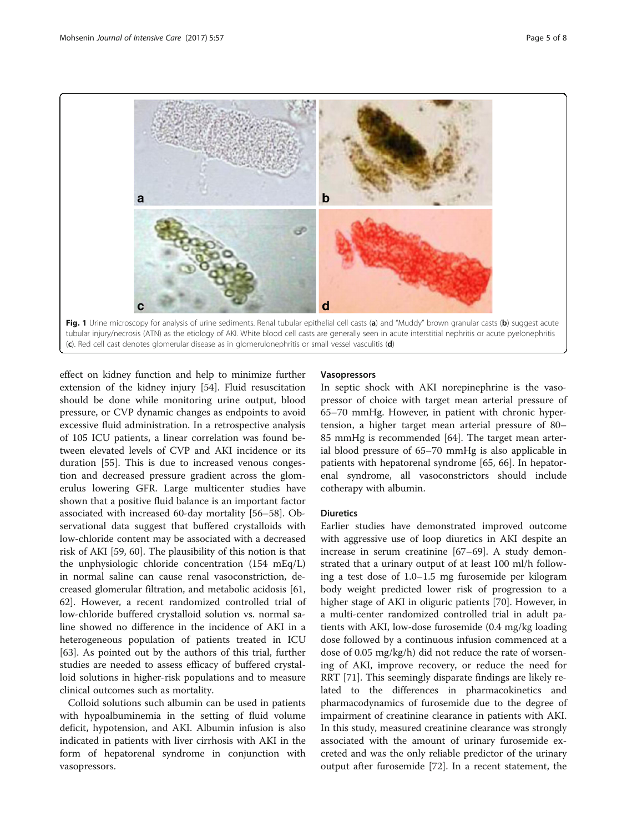<span id="page-4-0"></span>

effect on kidney function and help to minimize further extension of the kidney injury [[54](#page-7-0)]. Fluid resuscitation should be done while monitoring urine output, blood pressure, or CVP dynamic changes as endpoints to avoid excessive fluid administration. In a retrospective analysis of 105 ICU patients, a linear correlation was found between elevated levels of CVP and AKI incidence or its duration [\[55\]](#page-7-0). This is due to increased venous congestion and decreased pressure gradient across the glomerulus lowering GFR. Large multicenter studies have shown that a positive fluid balance is an important factor associated with increased 60-day mortality [[56](#page-7-0)–[58](#page-7-0)]. Observational data suggest that buffered crystalloids with low-chloride content may be associated with a decreased risk of AKI [\[59, 60\]](#page-7-0). The plausibility of this notion is that the unphysiologic chloride concentration (154 mEq/L) in normal saline can cause renal vasoconstriction, decreased glomerular filtration, and metabolic acidosis [[61](#page-7-0), [62\]](#page-7-0). However, a recent randomized controlled trial of low-chloride buffered crystalloid solution vs. normal saline showed no difference in the incidence of AKI in a heterogeneous population of patients treated in ICU [[63\]](#page-7-0). As pointed out by the authors of this trial, further studies are needed to assess efficacy of buffered crystalloid solutions in higher-risk populations and to measure clinical outcomes such as mortality.

Colloid solutions such albumin can be used in patients with hypoalbuminemia in the setting of fluid volume deficit, hypotension, and AKI. Albumin infusion is also indicated in patients with liver cirrhosis with AKI in the form of hepatorenal syndrome in conjunction with vasopressors.

# Vasopressors

In septic shock with AKI norepinephrine is the vasopressor of choice with target mean arterial pressure of 65–70 mmHg. However, in patient with chronic hypertension, a higher target mean arterial pressure of 80– 85 mmHg is recommended [\[64\]](#page-7-0). The target mean arterial blood pressure of 65–70 mmHg is also applicable in patients with hepatorenal syndrome [[65, 66\]](#page-7-0). In hepatorenal syndrome, all vasoconstrictors should include cotherapy with albumin.

# **Diuretics**

Earlier studies have demonstrated improved outcome with aggressive use of loop diuretics in AKI despite an increase in serum creatinine [\[67](#page-7-0)–[69\]](#page-7-0). A study demonstrated that a urinary output of at least 100 ml/h following a test dose of 1.0–1.5 mg furosemide per kilogram body weight predicted lower risk of progression to a higher stage of AKI in oliguric patients [\[70](#page-7-0)]. However, in a multi-center randomized controlled trial in adult patients with AKI, low-dose furosemide (0.4 mg/kg loading dose followed by a continuous infusion commenced at a dose of 0.05 mg/kg/h) did not reduce the rate of worsening of AKI, improve recovery, or reduce the need for RRT [\[71](#page-7-0)]. This seemingly disparate findings are likely related to the differences in pharmacokinetics and pharmacodynamics of furosemide due to the degree of impairment of creatinine clearance in patients with AKI. In this study, measured creatinine clearance was strongly associated with the amount of urinary furosemide excreted and was the only reliable predictor of the urinary output after furosemide [[72](#page-7-0)]. In a recent statement, the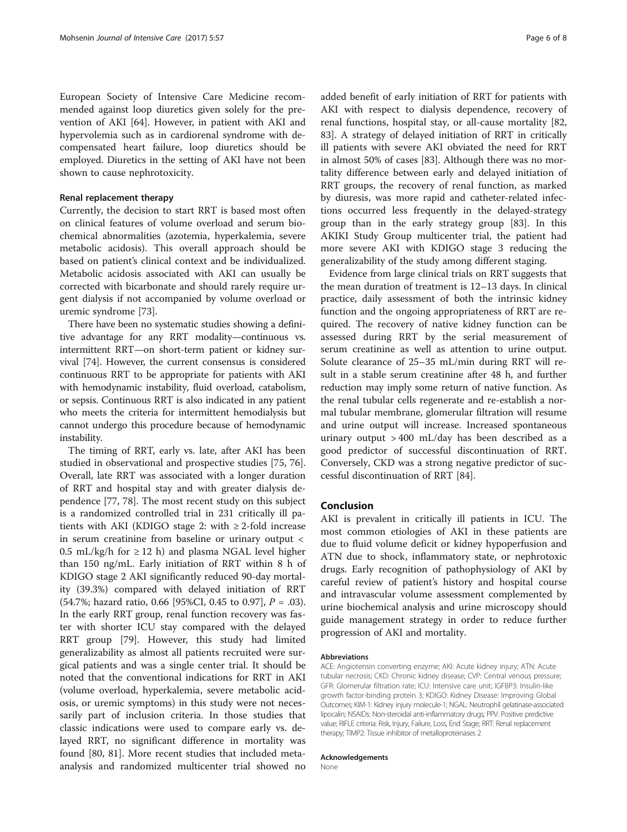European Society of Intensive Care Medicine recommended against loop diuretics given solely for the prevention of AKI [\[64](#page-7-0)]. However, in patient with AKI and hypervolemia such as in cardiorenal syndrome with decompensated heart failure, loop diuretics should be employed. Diuretics in the setting of AKI have not been shown to cause nephrotoxicity.

# Renal replacement therapy

Currently, the decision to start RRT is based most often on clinical features of volume overload and serum biochemical abnormalities (azotemia, hyperkalemia, severe metabolic acidosis). This overall approach should be based on patient's clinical context and be individualized. Metabolic acidosis associated with AKI can usually be corrected with bicarbonate and should rarely require urgent dialysis if not accompanied by volume overload or uremic syndrome [\[73](#page-7-0)].

There have been no systematic studies showing a definitive advantage for any RRT modality—continuous vs. intermittent RRT—on short-term patient or kidney survival [[74\]](#page-7-0). However, the current consensus is considered continuous RRT to be appropriate for patients with AKI with hemodynamic instability, fluid overload, catabolism, or sepsis. Continuous RRT is also indicated in any patient who meets the criteria for intermittent hemodialysis but cannot undergo this procedure because of hemodynamic instability.

The timing of RRT, early vs. late, after AKI has been studied in observational and prospective studies [\[75](#page-7-0), [76](#page-7-0)]. Overall, late RRT was associated with a longer duration of RRT and hospital stay and with greater dialysis dependence [[77, 78](#page-7-0)]. The most recent study on this subject is a randomized controlled trial in 231 critically ill patients with AKI (KDIGO stage 2: with  $\geq$  2-fold increase in serum creatinine from baseline or urinary output < 0.5 mL/kg/h for  $\geq$  12 h) and plasma NGAL level higher than 150 ng/mL. Early initiation of RRT within 8 h of KDIGO stage 2 AKI significantly reduced 90-day mortality (39.3%) compared with delayed initiation of RRT (54.7%; hazard ratio, 0.66 [95%CI, 0.45 to 0.97],  $P = .03$ ). In the early RRT group, renal function recovery was faster with shorter ICU stay compared with the delayed RRT group [\[79](#page-7-0)]. However, this study had limited generalizability as almost all patients recruited were surgical patients and was a single center trial. It should be noted that the conventional indications for RRT in AKI (volume overload, hyperkalemia, severe metabolic acidosis, or uremic symptoms) in this study were not necessarily part of inclusion criteria. In those studies that classic indications were used to compare early vs. delayed RRT, no significant difference in mortality was found [\[80](#page-7-0), [81\]](#page-7-0). More recent studies that included metaanalysis and randomized multicenter trial showed no added benefit of early initiation of RRT for patients with AKI with respect to dialysis dependence, recovery of renal functions, hospital stay, or all-cause mortality [[82](#page-7-0), [83\]](#page-7-0). A strategy of delayed initiation of RRT in critically ill patients with severe AKI obviated the need for RRT in almost 50% of cases [\[83](#page-7-0)]. Although there was no mortality difference between early and delayed initiation of RRT groups, the recovery of renal function, as marked by diuresis, was more rapid and catheter-related infections occurred less frequently in the delayed-strategy group than in the early strategy group [[83\]](#page-7-0). In this AKIKI Study Group multicenter trial, the patient had more severe AKI with KDIGO stage 3 reducing the generalizability of the study among different staging.

Evidence from large clinical trials on RRT suggests that the mean duration of treatment is 12–13 days. In clinical practice, daily assessment of both the intrinsic kidney function and the ongoing appropriateness of RRT are required. The recovery of native kidney function can be assessed during RRT by the serial measurement of serum creatinine as well as attention to urine output. Solute clearance of 25–35 mL/min during RRT will result in a stable serum creatinine after 48 h, and further reduction may imply some return of native function. As the renal tubular cells regenerate and re-establish a normal tubular membrane, glomerular filtration will resume and urine output will increase. Increased spontaneous urinary output > 400 mL/day has been described as a good predictor of successful discontinuation of RRT. Conversely, CKD was a strong negative predictor of successful discontinuation of RRT [[84\]](#page-7-0).

# Conclusion

AKI is prevalent in critically ill patients in ICU. The most common etiologies of AKI in these patients are due to fluid volume deficit or kidney hypoperfusion and ATN due to shock, inflammatory state, or nephrotoxic drugs. Early recognition of pathophysiology of AKI by careful review of patient's history and hospital course and intravascular volume assessment complemented by urine biochemical analysis and urine microscopy should guide management strategy in order to reduce further progression of AKI and mortality.

#### Abbreviations

ACE: Angiotensin converting enzyme; AKI: Acute kidney injury; ATN: Acute tubular necrosis; CKD: Chronic kidney disease; CVP: Central venous pressure; GFR: Glomerular filtration rate; ICU: Intensive care unit; IGFBP3: Insulin-like growth factor-binding protein 3; KDIGO: Kidney Disease: Improving Global Outcomes; KIM-1: Kidney injury molecule-1; NGAL: Neutrophil gelatinase-associated lipocalin; NSAIDs: Non-steroidal anti-inflammatory drugs; PPV: Positive predictive value; RIFLE criteria: Risk, Injury, Failure, Loss, End Stage; RRT: Renal replacement therapy; TIMP2: Tissue inhibitor of metalloproteinases 2

#### Acknowledgements

None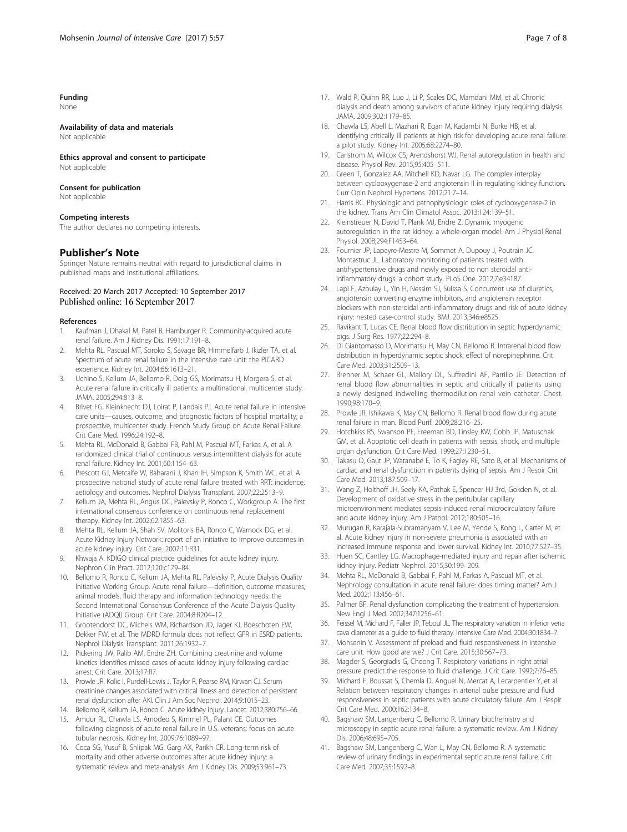# <span id="page-6-0"></span>Funding

None

Availability of data and materials

Not applicable

Ethics approval and consent to participate Not applicable

# Consent for publication

Not applicable

#### Competing interests

The author declares no competing interests.

# Publisher's Note

Springer Nature remains neutral with regard to jurisdictional claims in published maps and institutional affiliations.

# Received: 20 March 2017 Accepted: 10 September 2017 Published online: 16 September 2017

#### References

- 1. Kaufman J, Dhakal M, Patel B, Hamburger R. Community-acquired acute renal failure. Am J Kidney Dis. 1991;17:191–8.
- 2. Mehta RL, Pascual MT, Soroko S, Savage BR, Himmelfarb J, Ikizler TA, et al. Spectrum of acute renal failure in the intensive care unit: the PICARD experience. Kidney Int. 2004;66:1613–21.
- 3. Uchino S, Kellum JA, Bellomo R, Doig GS, Morimatsu H, Morgera S, et al. Acute renal failure in critically ill patients: a multinational, multicenter study. JAMA. 2005;294:813–8.
- 4. Brivet FG, Kleinknecht DJ, Loirat P, Landais PJ. Acute renal failure in intensive care units—causes, outcome, and prognostic factors of hospital mortality; a prospective, multicenter study. French Study Group on Acute Renal Failure. Crit Care Med. 1996;24:192–8.
- 5. Mehta RL, McDonald B, Gabbai FB, Pahl M, Pascual MT, Farkas A, et al. A randomized clinical trial of continuous versus intermittent dialysis for acute renal failure. Kidney Int. 2001;60:1154–63.
- 6. Prescott GJ, Metcalfe W, Baharani J, Khan IH, Simpson K, Smith WC, et al. A prospective national study of acute renal failure treated with RRT: incidence, aetiology and outcomes. Nephrol Dialysis Transplant. 2007;22:2513–9.
- 7. Kellum JA, Mehta RL, Angus DC, Palevsky P, Ronco C, Workgroup A. The first international consensus conference on continuous renal replacement therapy. Kidney Int. 2002;62:1855–63.
- Mehta RL, Kellum JA, Shah SV, Molitoris BA, Ronco C, Warnock DG, et al. Acute Kidney Injury Network: report of an initiative to improve outcomes in acute kidney injury. Crit Care. 2007;11:R31.
- 9. Khwaja A. KDIGO clinical practice guidelines for acute kidney injury. Nephron Clin Pract. 2012;120:c179–84.
- 10. Bellomo R, Ronco C, Kellum JA, Mehta RL, Palevsky P, Acute Dialysis Quality Initiative Working Group. Acute renal failure—definition, outcome measures, animal models, fluid therapy and information technology needs: the Second International Consensus Conference of the Acute Dialysis Quality Initiative (ADQI) Group. Crit Care. 2004;8:R204–12.
- 11. Grootendorst DC, Michels WM, Richardson JD, Jager KJ, Boeschoten EW, Dekker FW, et al. The MDRD formula does not reflect GFR in ESRD patients. Nephrol Dialysis Transplant. 2011;26:1932–7.
- 12. Pickering JW, Ralib AM, Endre ZH. Combining creatinine and volume kinetics identifies missed cases of acute kidney injury following cardiac arrest. Crit Care. 2013;17:R7.
- 13. Prowle JR, Kolic I, Purdell-Lewis J, Taylor R, Pearse RM, Kirwan CJ. Serum creatinine changes associated with critical illness and detection of persistent renal dysfunction after AKI. Clin J Am Soc Nephrol. 2014;9:1015–23.
- 14. Bellomo R, Kellum JA, Ronco C. Acute kidney injury. Lancet. 2012;380:756–66.
- 15. Amdur RL, Chawla LS, Amodeo S, Kimmel PL, Palant CE. Outcomes following diagnosis of acute renal failure in U.S. veterans: focus on acute tubular necrosis. Kidney Int. 2009;76:1089–97.
- 16. Coca SG, Yusuf B, Shlipak MG, Garg AX, Parikh CR. Long-term risk of mortality and other adverse outcomes after acute kidney injury: a systematic review and meta-analysis. Am J Kidney Dis. 2009;53:961–73.
- 17. Wald R, Quinn RR, Luo J, Li P, Scales DC, Mamdani MM, et al. Chronic dialysis and death among survivors of acute kidney injury requiring dialysis. JAMA. 2009;302:1179–85.
- 18. Chawla LS, Abell L, Mazhari R, Egan M, Kadambi N, Burke HB, et al. Identifying critically ill patients at high risk for developing acute renal failure: a pilot study. Kidney Int. 2005;68:2274–80.
- 19. Carlstrom M, Wilcox CS, Arendshorst WJ. Renal autoregulation in health and disease. Physiol Rev. 2015;95:405–511.
- 20. Green T, Gonzalez AA, Mitchell KD, Navar LG. The complex interplay between cyclooxygenase-2 and angiotensin II in regulating kidney function. Curr Opin Nephrol Hypertens. 2012;21:7–14.
- 21. Harris RC. Physiologic and pathophysiologic roles of cyclooxygenase-2 in the kidney. Trans Am Clin Climatol Assoc. 2013;124:139–51.
- 22. Kleinstreuer N, David T, Plank MJ, Endre Z. Dynamic myogenic autoregulation in the rat kidney: a whole-organ model. Am J Physiol Renal Physiol. 2008;294:F1453–64.
- 23. Fournier JP, Lapeyre-Mestre M, Sommet A, Dupouy J, Poutrain JC, Montastruc JL. Laboratory monitoring of patients treated with antihypertensive drugs and newly exposed to non steroidal antiinflammatory drugs: a cohort study. PLoS One. 2012;7:e34187.
- 24. Lapi F, Azoulay L, Yin H, Nessim SJ, Suissa S. Concurrent use of diuretics, angiotensin converting enzyme inhibitors, and angiotensin receptor blockers with non-steroidal anti-inflammatory drugs and risk of acute kidney injury: nested case-control study. BMJ. 2013;346:e8525.
- 25. Ravikant T, Lucas CE. Renal blood flow distribution in septic hyperdynamic pigs. J Surg Res. 1977;22:294–8.
- 26. Di Giantomasso D, Morimatsu H, May CN, Bellomo R. Intrarenal blood flow distribution in hyperdynamic septic shock: effect of norepinephrine. Crit Care Med. 2003;31:2509–13.
- 27. Brenner M, Schaer GL, Mallory DL, Suffredini AF, Parrillo JE. Detection of renal blood flow abnormalities in septic and critically ill patients using a newly designed indwelling thermodilution renal vein catheter. Chest. 1990;98:170–9.
- 28. Prowle JR, Ishikawa K, May CN, Bellomo R. Renal blood flow during acute renal failure in man. Blood Purif. 2009;28:216–25.
- 29. Hotchkiss RS, Swanson PE, Freeman BD, Tinsley KW, Cobb JP, Matuschak GM, et al. Apoptotic cell death in patients with sepsis, shock, and multiple organ dysfunction. Crit Care Med. 1999;27:1230–51.
- 30. Takasu O, Gaut JP, Watanabe E, To K, Fagley RE, Sato B, et al. Mechanisms of cardiac and renal dysfunction in patients dying of sepsis. Am J Respir Crit Care Med. 2013;187:509–17.
- 31. Wang Z, Holthoff JH, Seely KA, Pathak E, Spencer HJ 3rd, Gokden N, et al. Development of oxidative stress in the peritubular capillary microenvironment mediates sepsis-induced renal microcirculatory failure and acute kidney injury. Am J Pathol. 2012;180:505–16.
- 32. Murugan R, Karajala-Subramanyam V, Lee M, Yende S, Kong L, Carter M, et al. Acute kidney injury in non-severe pneumonia is associated with an increased immune response and lower survival. Kidney Int. 2010;77:527–35.
- 33. Huen SC, Cantley LG. Macrophage-mediated injury and repair after ischemic kidney injury. Pediatr Nephrol. 2015;30:199–209.
- 34. Mehta RL, McDonald B, Gabbai F, Pahl M, Farkas A, Pascual MT, et al. Nephrology consultation in acute renal failure: does timing matter? Am J Med. 2002;113:456–61.
- 35. Palmer BF. Renal dysfunction complicating the treatment of hypertension. New Engl J Med. 2002;347:1256–61.
- 36. Feissel M, Michard F, Faller JP, Teboul JL. The respiratory variation in inferior vena cava diameter as a guide to fluid therapy. Intensive Care Med. 2004;30:1834–7.
- 37. Mohsenin V. Assessment of preload and fluid responsiveness in intensive care unit. How good are we? J Crit Care. 2015;30:567–73.
- 38. Magder S, Georgiadis G, Cheong T. Respiratory variations in right atrial pressure predict the response to fluid challenge. J Crit Care. 1992;7:76–85.
- 39. Michard F, Boussat S, Chemla D, Anguel N, Mercat A, Lecarpentier Y, et al. Relation between respiratory changes in arterial pulse pressure and fluid responsiveness in septic patients with acute circulatory failure. Am J Respir Crit Care Med. 2000;162:134–8.
- 40. Bagshaw SM, Langenberg C, Bellomo R. Urinary biochemistry and microscopy in septic acute renal failure: a systematic review. Am J Kidney Dis. 2006;48:695–705.
- 41. Bagshaw SM, Langenberg C, Wan L, May CN, Bellomo R. A systematic review of urinary findings in experimental septic acute renal failure. Crit Care Med. 2007;35:1592–8.